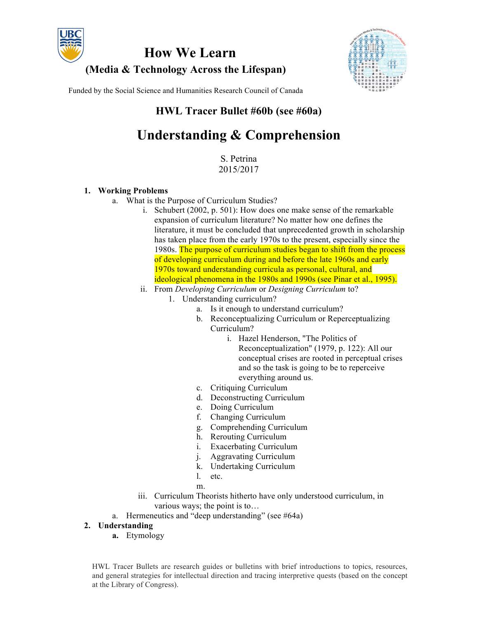

**How We Learn (Media & Technology Across the Lifespan)**



Funded by the Social Science and Humanities Research Council of Canada

# **HWL Tracer Bullet #60b (see #60a)**

# **Understanding & Comprehension**

S. Petrina 2015/2017

#### **1. Working Problems**

- a. What is the Purpose of Curriculum Studies?
	- i. Schubert (2002, p. 501): How does one make sense of the remarkable expansion of curriculum literature? No matter how one defines the literature, it must be concluded that unprecedented growth in scholarship has taken place from the early 1970s to the present, especially since the 1980s. The purpose of curriculum studies began to shift from the process of developing curriculum during and before the late 1960s and early 1970s toward understanding curricula as personal, cultural, and ideological phenomena in the 1980s and 1990s (see Pinar et al., 1995).
	- ii. From *Developing Curriculum* or *Designing Curriculum* to?
		- 1. Understanding curriculum?
			- a. Is it enough to understand curriculum?
			- b. Reconceptualizing Curriculum or Reperceptualizing Curriculum?
				- i. Hazel Henderson, "The Politics of Reconceptualization" (1979, p. 122): All our conceptual crises are rooted in perceptual crises and so the task is going to be to reperceive everything around us.
			- c. Critiquing Curriculum
			- d. Deconstructing Curriculum
			- e. Doing Curriculum
			- f. Changing Curriculum
			- g. Comprehending Curriculum
			- h. Rerouting Curriculum
			- i. Exacerbating Curriculum
			- j. Aggravating Curriculum
			- k. Undertaking Curriculum
			- l. etc.
			- m.
	- iii. Curriculum Theorists hitherto have only understood curriculum, in various ways; the point is to…
- a. Hermeneutics and "deep understanding" (see #64a)

# **2. Understanding**

**a.** Etymology

HWL Tracer Bullets are research guides or bulletins with brief introductions to topics, resources, and general strategies for intellectual direction and tracing interpretive quests (based on the concept at the Library of Congress).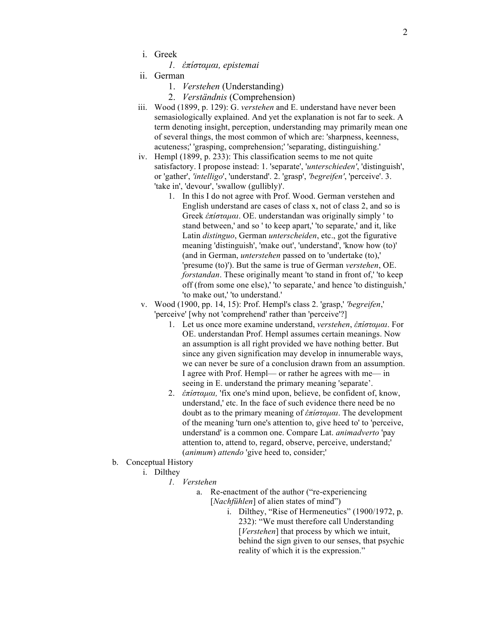i. Greek

*1. ἐπίσταµαι, epistemai*

- ii. German
	- 1. *Verstehen* (Understanding)
	- 2. *Verständnis* (Comprehension)
- iii. Wood (1899, p. 129): G. *verstehen* and E. understand have never been semasiologically explained. And yet the explanation is not far to seek. A term denoting insight, perception, understanding may primarily mean one of several things, the most common of which are: 'sharpness, keenness, acuteness;' 'grasping, comprehension;' 'separating, distinguishing.'
- iv. Hempl (1899, p. 233): This classification seems to me not quite satisfactory. I propose instead: 1. 'separate', '*unterschieden'*, 'distinguish', or 'gather', *'intelligo*', 'understand'. 2. 'grasp', *'begreifen'*, 'perceive'. 3. 'take in', 'devour', 'swallow (gullibly)'.
	- 1. In this I do not agree with Prof. Wood. German verstehen and English understand are cases of class x, not of class 2, and so is Greek *ἐπίσταµαι*. OE. understandan was originally simply ' to stand between,' and so ' to keep apart,' 'to separate,' and it, like Latin *distinguo*, German *unterscheiden*, etc., got the figurative meaning 'distinguish', 'make out', 'understand', 'know how (to)' (and in German, *unterstehen* passed on to 'undertake (to),' 'presume (to)'). But the same is true of German *verstehen*, OE. *forstandan*. These originally meant 'to stand in front of,' 'to keep off (from some one else),' 'to separate,' and hence 'to distinguish,' 'to make out,' 'to understand.'
- v. Wood (1900, pp. 14, 15): Prof. Hempl's class 2. 'grasp,' *'begreifen*,' 'perceive' [why not 'comprehend' rather than 'perceive'?]
	- 1. Let us once more examine understand, *verstehen*, *ἐπίσταµαι*. For OE. understandan Prof. Hempl assumes certain meanings. Now an assumption is all right provided we have nothing better. But since any given signification may develop in innumerable ways, we can never be sure of a conclusion drawn from an assumption. I agree with Prof. Hempl— or rather he agrees with me— in seeing in E. understand the primary meaning 'separate'.
	- 2. *ἐπίσταµαι,* 'fix one's mind upon, believe, be confident of, know, understand,' etc. In the face of such evidence there need be no doubt as to the primary meaning of *ἐπίσταµαι*. The development of the meaning 'turn one's attention to, give heed to' to 'perceive, understand' is a common one. Compare Lat. *animadverto* 'pay attention to, attend to, regard, observe, perceive, understand;' (*animum*) *attendo* 'give heed to, consider;'
- b. Conceptual History
	- i. Dilthey
		- *1. Verstehen*
			- a. Re-enactment of the author ("re-experiencing [*Nachfühlen*] of alien states of mind")
				- i. Dilthey, "Rise of Hermeneutics" (1900/1972, p. 232): "We must therefore call Understanding [*Verstehen*] that process by which we intuit, behind the sign given to our senses, that psychic reality of which it is the expression."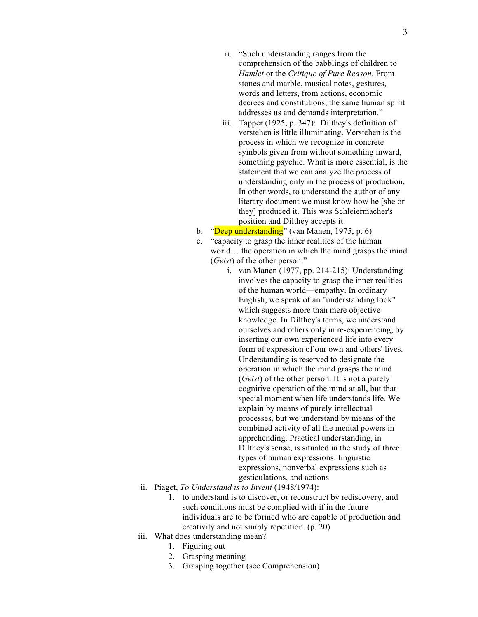- ii. "Such understanding ranges from the comprehension of the babblings of children to *Hamlet* or the *Critique of Pure Reason*. From stones and marble, musical notes, gestures, words and letters, from actions, economic decrees and constitutions, the same human spirit addresses us and demands interpretation."
- iii. Tapper (1925, p. 347): Dilthey's definition of verstehen is little illuminating. Verstehen is the process in which we recognize in concrete symbols given from without something inward, something psychic. What is more essential, is the statement that we can analyze the process of understanding only in the process of production. In other words, to understand the author of any literary document we must know how he [she or they] produced it. This was Schleiermacher's position and Dilthey accepts it.
- b. "Deep understanding" (van Manen, 1975, p. 6)
- c. "capacity to grasp the inner realities of the human world... the operation in which the mind grasps the mind (*Geist*) of the other person."
	- i. van Manen (1977, pp. 214-215): Understanding involves the capacity to grasp the inner realities of the human world—empathy. In ordinary English, we speak of an "understanding look" which suggests more than mere objective knowledge. In Dilthey's terms, we understand ourselves and others only in re-experiencing, by inserting our own experienced life into every form of expression of our own and others' lives. Understanding is reserved to designate the operation in which the mind grasps the mind (*Geist*) of the other person. It is not a purely cognitive operation of the mind at all, but that special moment when life understands life. We explain by means of purely intellectual processes, but we understand by means of the combined activity of all the mental powers in apprehending. Practical understanding, in Dilthey's sense, is situated in the study of three types of human expressions: linguistic expressions, nonverbal expressions such as gesticulations, and actions
- ii. Piaget, *To Understand is to Invent* (1948/1974):
	- 1. to understand is to discover, or reconstruct by rediscovery, and such conditions must be complied with if in the future individuals are to be formed who are capable of production and creativity and not simply repetition. (p. 20)
- iii. What does understanding mean?
	- 1. Figuring out
	- 2. Grasping meaning
	- 3. Grasping together (see Comprehension)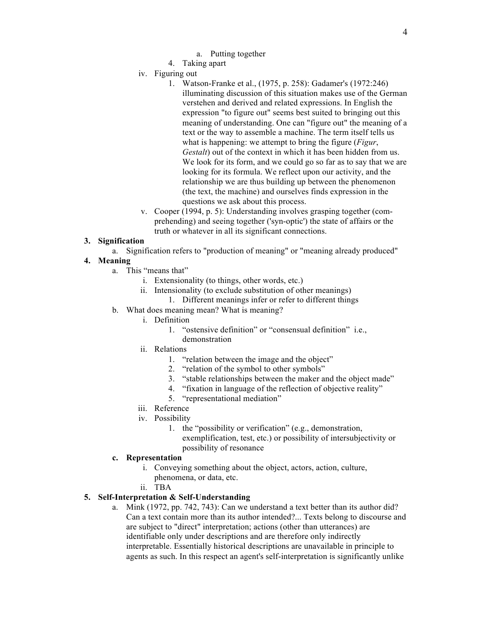- a. Putting together
- 4. Taking apart
- iv. Figuring out
	- 1. Watson-Franke et al., (1975, p. 258): Gadamer's (1972:246) illuminating discussion of this situation makes use of the German verstehen and derived and related expressions. In English the expression "to figure out" seems best suited to bringing out this meaning of understanding. One can "figure out" the meaning of a text or the way to assemble a machine. The term itself tells us what is happening: we attempt to bring the figure (*Figur*, *Gestalt*) out of the context in which it has been hidden from us. We look for its form, and we could go so far as to say that we are looking for its formula. We reflect upon our activity, and the relationship we are thus building up between the phenomenon (the text, the machine) and ourselves finds expression in the questions we ask about this process.
- v. Cooper (1994, p. 5): Understanding involves grasping together (comprehending) and seeing together ('syn-optic') the state of affairs or the truth or whatever in all its significant connections.

#### **3. Signification**

a. Signification refers to "production of meaning" or "meaning already produced"

# **4. Meaning**

- a. This "means that"
	- i. Extensionality (to things, other words, etc.)
	- ii. Intensionality (to exclude substitution of other meanings)
		- 1. Different meanings infer or refer to different things
- b. What does meaning mean? What is meaning?
	- i. Definition
		- 1. "ostensive definition" or "consensual definition" i.e., demonstration
	- ii. Relations
		- 1. "relation between the image and the object"
		- 2. "relation of the symbol to other symbols"
		- 3. "stable relationships between the maker and the object made"
		- 4. "fixation in language of the reflection of objective reality"
		- 5. "representational mediation"
	- iii. Reference
	- iv. Possibility
		- 1. the "possibility or verification" (e.g., demonstration, exemplification, test, etc.) or possibility of intersubjectivity or possibility of resonance

#### **c. Representation**

- i. Conveying something about the object, actors, action, culture, phenomena, or data, etc.
- ii. TBA

# **5. Self-Interpretation & Self-Understanding**

a. Mink (1972, pp. 742, 743): Can we understand a text better than its author did? Can a text contain more than its author intended?... Texts belong to discourse and are subject to "direct" interpretation; actions (other than utterances) are identifiable only under descriptions and are therefore only indirectly interpretable. Essentially historical descriptions are unavailable in principle to agents as such. In this respect an agent's self-interpretation is significantly unlike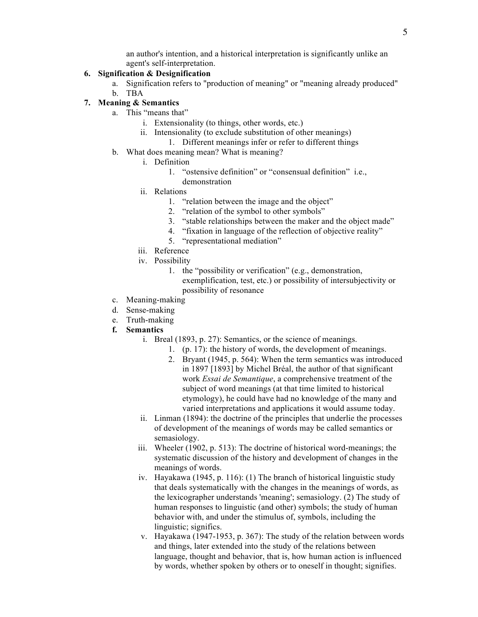an author's intention, and a historical interpretation is significantly unlike an agent's self-interpretation.

#### **6. Signification & Designification**

- a. Signification refers to "production of meaning" or "meaning already produced" b. TBA
- **7. Meaning & Semantics**
	- a. This "means that"
		- i. Extensionality (to things, other words, etc.)
		- ii. Intensionality (to exclude substitution of other meanings)
			- 1. Different meanings infer or refer to different things
	- b. What does meaning mean? What is meaning?
		- i. Definition
			- 1. "ostensive definition" or "consensual definition" i.e., demonstration
			- ii. Relations
				- 1. "relation between the image and the object"
				- 2. "relation of the symbol to other symbols"
				- 3. "stable relationships between the maker and the object made"
				- 4. "fixation in language of the reflection of objective reality"
				- 5. "representational mediation"
		- iii. Reference
		- iv. Possibility
			- 1. the "possibility or verification" (e.g., demonstration, exemplification, test, etc.) or possibility of intersubjectivity or possibility of resonance
	- c. Meaning-making
	- d. Sense-making
	- e. Truth-making
	- **f. Semantics**
		- i. Breal (1893, p. 27): Semantics, or the science of meanings.
			- 1. (p. 17): the history of words, the development of meanings.
			- 2. Bryant (1945, p. 564): When the term semantics was introduced in 1897 [1893] by Michel Bréal, the author of that significant work *Essai de Semantique*, a comprehensive treatment of the subject of word meanings (at that time limited to historical etymology), he could have had no knowledge of the many and varied interpretations and applications it would assume today.
		- ii. Linman (1894): the doctrine of the principles that underlie the processes of development of the meanings of words may be called semantics or semasiology.
		- iii. Wheeler (1902, p. 513): The doctrine of historical word-meanings; the systematic discussion of the history and development of changes in the meanings of words.
		- iv. Hayakawa (1945, p. 116): (1) The branch of historical linguistic study that deals systematically with the changes in the meanings of words, as the lexicographer understands 'meaning'; semasiology. (2) The study of human responses to linguistic (and other) symbols; the study of human behavior with, and under the stimulus of, symbols, including the linguistic; significs.
		- v. Hayakawa (1947-1953, p. 367): The study of the relation between words and things, later extended into the study of the relations between language, thought and behavior, that is, how human action is influenced by words, whether spoken by others or to oneself in thought; signifies.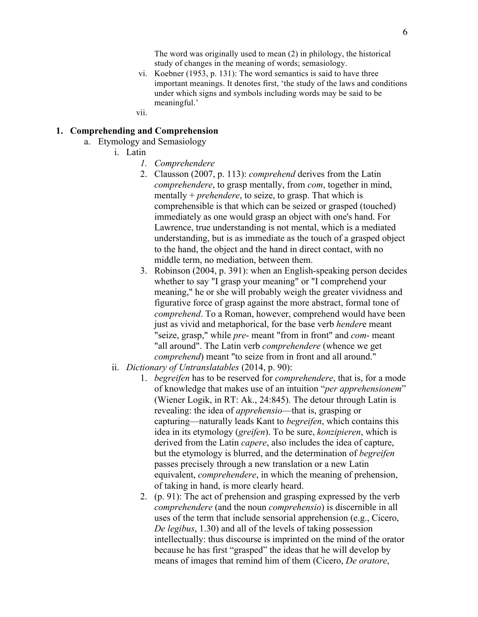The word was originally used to mean (2) in philology, the historical study of changes in the meaning of words; semasiology.

- vi. Koebner (1953, p. 131): The word semantics is said to have three important meanings. It denotes first, 'the study of the laws and conditions under which signs and symbols including words may be said to be meaningful.'
- vii.

# **1. Comprehending and Comprehension**

- a. Etymology and Semasiology
	- i. Latin
		- *1. Comprehendere*
		- 2. Clausson (2007, p. 113): *comprehend* derives from the Latin *comprehendere*, to grasp mentally, from *com*, together in mind, mentally + *prehendere*, to seize, to grasp. That which is comprehensible is that which can be seized or grasped (touched) immediately as one would grasp an object with one's hand. For Lawrence, true understanding is not mental, which is a mediated understanding, but is as immediate as the touch of a grasped object to the hand, the object and the hand in direct contact, with no middle term, no mediation, between them.
		- 3. Robinson (2004, p. 391): when an English-speaking person decides whether to say "I grasp your meaning" or "I comprehend your meaning," he or she will probably weigh the greater vividness and figurative force of grasp against the more abstract, formal tone of *comprehend*. To a Roman, however, comprehend would have been just as vivid and metaphorical, for the base verb *hender*e meant "seize, grasp," while *pre*- meant "from in front" and *com*- meant "all around". The Latin verb *comprehendere* (whence we get *comprehend*) meant "to seize from in front and all around."
	- ii. *Dictionary of Untranslatables* (2014, p. 90):
		- 1. *begreifen* has to be reserved for *comprehendere*, that is, for a mode of knowledge that makes use of an intuition "*per apprehensionem*" (Wiener Logik, in RT: Ak., 24:845). The detour through Latin is revealing: the idea of *apprehensio*—that is, grasping or capturing—naturally leads Kant to *begreifen*, which contains this idea in its etymology (*greifen*). To be sure, *konzipieren*, which is derived from the Latin *capere*, also includes the idea of capture, but the etymology is blurred, and the determination of *begreifen* passes precisely through a new translation or a new Latin equivalent, *comprehendere*, in which the meaning of prehension, of taking in hand, is more clearly heard.
		- 2. (p. 91): The act of prehension and grasping expressed by the verb *comprehendere* (and the noun *comprehensio*) is discernible in all uses of the term that include sensorial apprehension (e.g., Cicero, *De legibus*, 1.30) and all of the levels of taking possession intellectually: thus discourse is imprinted on the mind of the orator because he has first "grasped" the ideas that he will develop by means of images that remind him of them (Cicero, *De oratore*,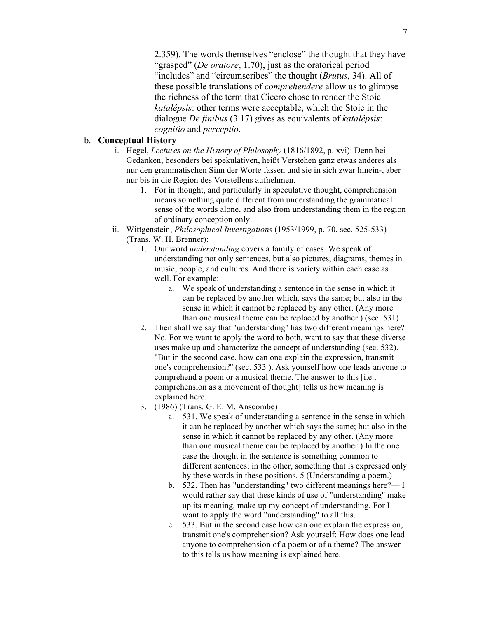2.359). The words themselves "enclose" the thought that they have "grasped" (*De oratore*, 1.70), just as the oratorical period "includes" and "circumscribes" the thought (*Brutus*, 34). All of these possible translations of *comprehendere* allow us to glimpse the richness of the term that Cicero chose to render the Stoic *katalêpsis*: other terms were acceptable, which the Stoic in the dialogue *De finibus* (3.17) gives as equivalents of *katalêpsis*: *cognitio* and *perceptio*.

#### b. **Conceptual History**

- i. Hegel, *Lectures on the History of Philosophy* (1816/1892, p. xvi): Denn bei Gedanken, besonders bei spekulativen, heißt Verstehen ganz etwas anderes als nur den grammatischen Sinn der Worte fassen und sie in sich zwar hinein-, aber nur bis in die Region des Vorstellens aufnehmen.
	- 1. For in thought, and particularly in speculative thought, comprehension means something quite different from understanding the grammatical sense of the words alone, and also from understanding them in the region of ordinary conception only.
- ii. Wittgenstein, *Philosophical Investigations* (1953/1999, p. 70, sec. 525-533) (Trans. W. H. Brenner):
	- 1. Our word *understanding* covers a family of cases. We speak of understanding not only sentences, but also pictures, diagrams, themes in music, people, and cultures. And there is variety within each case as well. For example:
		- a. We speak of understanding a sentence in the sense in which it can be replaced by another which, says the same; but also in the sense in which it cannot be replaced by any other. (Any more than one musical theme can be replaced by another.) (sec. 531)
	- 2. Then shall we say that "understanding'' has two different meanings here? No. For we want to apply the word to both, want to say that these diverse uses make up and characterize the concept of understanding (sec. 532). "But in the second case, how can one explain the expression, transmit one's comprehension?'' (sec. 533 ). Ask yourself how one leads anyone to comprehend a poem or a musical theme. The answer to this [i.e., comprehension as a movement of thought] tells us how meaning is explained here.
	- 3. (1986) (Trans. G. E. M. Anscombe)
		- a. 531. We speak of understanding a sentence in the sense in which it can be replaced by another which says the same; but also in the sense in which it cannot be replaced by any other. (Any more than one musical theme can be replaced by another.) In the one case the thought in the sentence is something common to different sentences; in the other, something that is expressed only by these words in these positions. 5 (Understanding a poem.)
		- b. 532. Then has "understanding" two different meanings here?— I would rather say that these kinds of use of "understanding" make up its meaning, make up my concept of understanding. For I want to apply the word "understanding" to all this.
		- c. 533. But in the second case how can one explain the expression, transmit one's comprehension? Ask yourself: How does one lead anyone to comprehension of a poem or of a theme? The answer to this tells us how meaning is explained here.